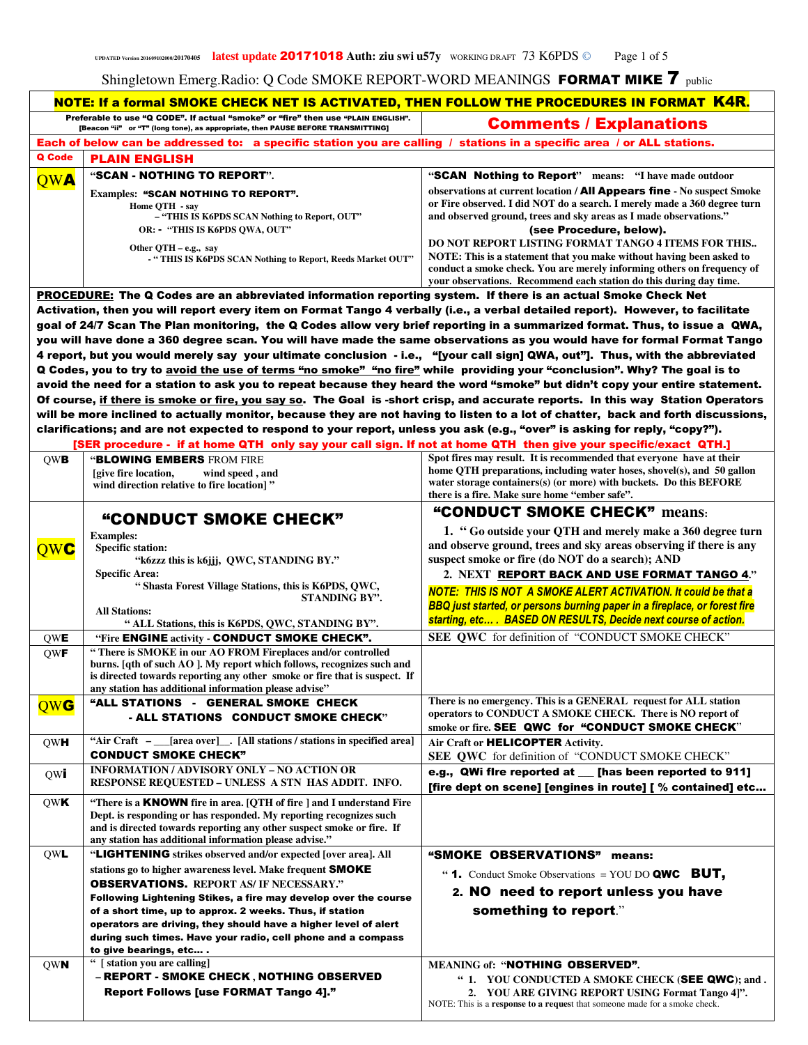|            | NOTE: If a formal SMOKE CHECK NET IS ACTIVATED, THEN FOLLOW THE PROCEDURES IN FORMAT K4R.                                                                                                                                                      |                                                                                                                                                                                                                                                         |
|------------|------------------------------------------------------------------------------------------------------------------------------------------------------------------------------------------------------------------------------------------------|---------------------------------------------------------------------------------------------------------------------------------------------------------------------------------------------------------------------------------------------------------|
|            | Preferable to use "Q CODE". If actual "smoke" or "fire" then use "PLAIN ENGLISH".<br>[Beacon "ii" or "T" (long tone), as appropriate, then PAUSE BEFORE TRANSMITTING]                                                                          | <b>Comments / Explanations</b>                                                                                                                                                                                                                          |
|            | Each of below can be addressed to: a specific station you are calling / stations in a specific area / or ALL stations.                                                                                                                         |                                                                                                                                                                                                                                                         |
| Q Code     | <b>PLAIN ENGLISH</b>                                                                                                                                                                                                                           |                                                                                                                                                                                                                                                         |
| <b>OWA</b> | "SCAN - NOTHING TO REPORT".                                                                                                                                                                                                                    | "SCAN Nothing to Report" means: "I have made outdoor                                                                                                                                                                                                    |
|            | <b>Examples: "SCAN NOTHING TO REPORT".</b>                                                                                                                                                                                                     | observations at current location / <b>All Appears fine</b> - No suspect Smoke<br>or Fire observed. I did NOT do a search. I merely made a 360 degree turn                                                                                               |
|            | Home QTH - say<br>- "THIS IS K6PDS SCAN Nothing to Report, OUT"                                                                                                                                                                                | and observed ground, trees and sky areas as I made observations."                                                                                                                                                                                       |
|            | OR: - "THIS IS K6PDS QWA, OUT"                                                                                                                                                                                                                 | (see Procedure, below).                                                                                                                                                                                                                                 |
|            | Other QTH – e.g., say                                                                                                                                                                                                                          | DO NOT REPORT LISTING FORMAT TANGO 4 ITEMS FOR THIS<br>NOTE: This is a statement that you make without having been asked to                                                                                                                             |
|            | - "THIS IS K6PDS SCAN Nothing to Report, Reeds Market OUT"                                                                                                                                                                                     | conduct a smoke check. You are merely informing others on frequency of<br>your observations. Recommend each station do this during day time.                                                                                                            |
|            | <b>PROCEDURE:</b> The Q Codes are an abbreviated information reporting system. If there is an actual Smoke Check Net                                                                                                                           |                                                                                                                                                                                                                                                         |
|            | Activation, then you will report every item on Format Tango 4 verbally (i.e., a verbal detailed report). However, to facilitate                                                                                                                |                                                                                                                                                                                                                                                         |
|            |                                                                                                                                                                                                                                                | goal of 24/7 Scan The Plan monitoring, the Q Codes allow very brief reporting in a summarized format. Thus, to issue a QWA,<br>you will have done a 360 degree scan. You will have made the same observations as you would have for formal Format Tango |
|            | 4 report, but you would merely say your ultimate conclusion - i.e., "[your call sign] QWA, out"]. Thus, with the abbreviated                                                                                                                   |                                                                                                                                                                                                                                                         |
|            | Q Codes, you to try to avoid the use of terms "no smoke" "no fire" while providing your "conclusion". Why? The goal is to                                                                                                                      |                                                                                                                                                                                                                                                         |
|            |                                                                                                                                                                                                                                                | avoid the need for a station to ask you to repeat because they heard the word "smoke" but didn't copy your entire statement.                                                                                                                            |
|            |                                                                                                                                                                                                                                                | Of course, if there is smoke or fire, you say so. The Goal is -short crisp, and accurate reports. In this way Station Operators                                                                                                                         |
|            |                                                                                                                                                                                                                                                | will be more inclined to actually monitor, because they are not having to listen to a lot of chatter, back and forth discussions,                                                                                                                       |
|            | clarifications; and are not expected to respond to your report, unless you ask (e.g., "over" is asking for reply, "copy?").<br>[SER procedure - if at home QTH only say your call sign. If not at home QTH then give your specific/exact QTH.] |                                                                                                                                                                                                                                                         |
| <b>OWB</b> | <b>"BLOWING EMBERS FROM FIRE</b>                                                                                                                                                                                                               | Spot fires may result. It is recommended that everyone have at their                                                                                                                                                                                    |
|            | <i>s</i> [give fire location,<br>wind speed, and                                                                                                                                                                                               | home QTH preparations, including water hoses, shovel(s), and 50 gallon                                                                                                                                                                                  |
|            | wind direction relative to fire location]"                                                                                                                                                                                                     | water storage containers(s) (or more) with buckets. Do this $BEFORE$<br>there is a fire. Make sure home "ember safe".                                                                                                                                   |
|            | "CONDUCT SMOKE CHECK"                                                                                                                                                                                                                          | "CONDUCT SMOKE CHECK" means:                                                                                                                                                                                                                            |
|            | <b>Examples:</b>                                                                                                                                                                                                                               | 1. "Go outside your QTH and merely make a 360 degree turn                                                                                                                                                                                               |
| OWC        | <b>Specific station:</b>                                                                                                                                                                                                                       | and observe ground, trees and sky areas observing if there is any                                                                                                                                                                                       |
|            | "k6zzz this is k6jij, QWC, STANDING BY."                                                                                                                                                                                                       | suspect smoke or fire (do NOT do a search); AND                                                                                                                                                                                                         |
|            | <b>Specific Area:</b><br>"Shasta Forest Village Stations, this is K6PDS, QWC,                                                                                                                                                                  | 2. NEXT REPORT BACK AND USE FORMAT TANGO 4."                                                                                                                                                                                                            |
|            | <b>STANDING BY".</b>                                                                                                                                                                                                                           | <b>NOTE: THIS IS NOT A SMOKE ALERT ACTIVATION. It could be that a</b><br>BBQ just started, or persons burning paper in a fireplace, or forest fire                                                                                                      |
|            | <b>All Stations:</b><br>" ALL Stations, this is K6PDS, QWC, STANDING BY".                                                                                                                                                                      | starting, etc BASED ON RESULTS, Decide next course of action.                                                                                                                                                                                           |
| QWE        | "Fire ENGINE activity - CONDUCT SMOKE CHECK".                                                                                                                                                                                                  | SEE QWC for definition of "CONDUCT SMOKE CHECK"                                                                                                                                                                                                         |
| <b>QWF</b> | "There is SMOKE in our AO FROM Fireplaces and/or controlled                                                                                                                                                                                    |                                                                                                                                                                                                                                                         |
|            | burns. [qth of such AO]. My report which follows, recognizes such and<br>is directed towards reporting any other smoke or fire that is suspect. If                                                                                             |                                                                                                                                                                                                                                                         |
|            | any station has additional information please advise"                                                                                                                                                                                          |                                                                                                                                                                                                                                                         |
| QWG        | "ALL STATIONS - GENERAL SMOKE CHECK                                                                                                                                                                                                            | There is no emergency. This is a GENERAL request for ALL station<br>operators to CONDUCT A SMOKE CHECK. There is NO report of                                                                                                                           |
|            | - ALL STATIONS CONDUCT SMOKE CHECK"                                                                                                                                                                                                            | smoke or fire. SEE QWC for "CONDUCT SMOKE CHECK"                                                                                                                                                                                                        |
| <b>QWH</b> | "Air Craft - __[area over]__. [All stations / stations in specified area]                                                                                                                                                                      | Air Craft or HELICOPTER Activity.                                                                                                                                                                                                                       |
|            | <b>CONDUCT SMOKE CHECK"</b>                                                                                                                                                                                                                    | SEE QWC for definition of "CONDUCT SMOKE CHECK"                                                                                                                                                                                                         |
| QW         | <b>INFORMATION / ADVISORY ONLY - NO ACTION OR</b><br>RESPONSE REQUESTED – UNLESS A STN HAS ADDIT. INFO.                                                                                                                                        | e.g., QWi fire reported at __ [has been reported to 911]                                                                                                                                                                                                |
| QWK        | "There is a <b>KNOWN</b> fire in area. [QTH of fire ] and I understand Fire                                                                                                                                                                    | [fire dept on scene] [engines in route] [ % contained] etc                                                                                                                                                                                              |
|            | Dept. is responding or has responded. My reporting recognizes such                                                                                                                                                                             |                                                                                                                                                                                                                                                         |
|            | and is directed towards reporting any other suspect smoke or fire. If                                                                                                                                                                          |                                                                                                                                                                                                                                                         |
| <b>QWL</b> | any station has additional information please advise."<br>"LIGHTENING strikes observed and/or expected [over area]. All                                                                                                                        | "SMOKE OBSERVATIONS" means:                                                                                                                                                                                                                             |
|            | stations go to higher awareness level. Make frequent SMOKE                                                                                                                                                                                     |                                                                                                                                                                                                                                                         |
|            | <b>OBSERVATIONS.</b> REPORT AS/ IF NECESSARY."                                                                                                                                                                                                 | " 1. Conduct Smoke Observations = YOU DO QWC BUT,                                                                                                                                                                                                       |
|            | Following Lightening Stikes, a fire may develop over the course                                                                                                                                                                                | 2. NO need to report unless you have                                                                                                                                                                                                                    |
|            | of a short time, up to approx. 2 weeks. Thus, if station                                                                                                                                                                                       | something to report."                                                                                                                                                                                                                                   |
|            | operators are driving, they should have a higher level of alert<br>during such times. Have your radio, cell phone and a compass                                                                                                                |                                                                                                                                                                                                                                                         |
|            | to give bearings, etc                                                                                                                                                                                                                          |                                                                                                                                                                                                                                                         |
| <b>QWN</b> | " [ station you are calling]                                                                                                                                                                                                                   | <b>MEANING of: "NOTHING OBSERVED".</b>                                                                                                                                                                                                                  |
|            | - REPORT - SMOKE CHECK, NOTHING OBSERVED                                                                                                                                                                                                       | " 1. YOU CONDUCTED A SMOKE CHECK (SEE QWC); and .                                                                                                                                                                                                       |
|            | Report Follows [use FORMAT Tango 4]."                                                                                                                                                                                                          | 2. YOU ARE GIVING REPORT USING Format Tango 4]".<br>NOTE: This is a response to a request that someone made for a smoke check.                                                                                                                          |
|            |                                                                                                                                                                                                                                                |                                                                                                                                                                                                                                                         |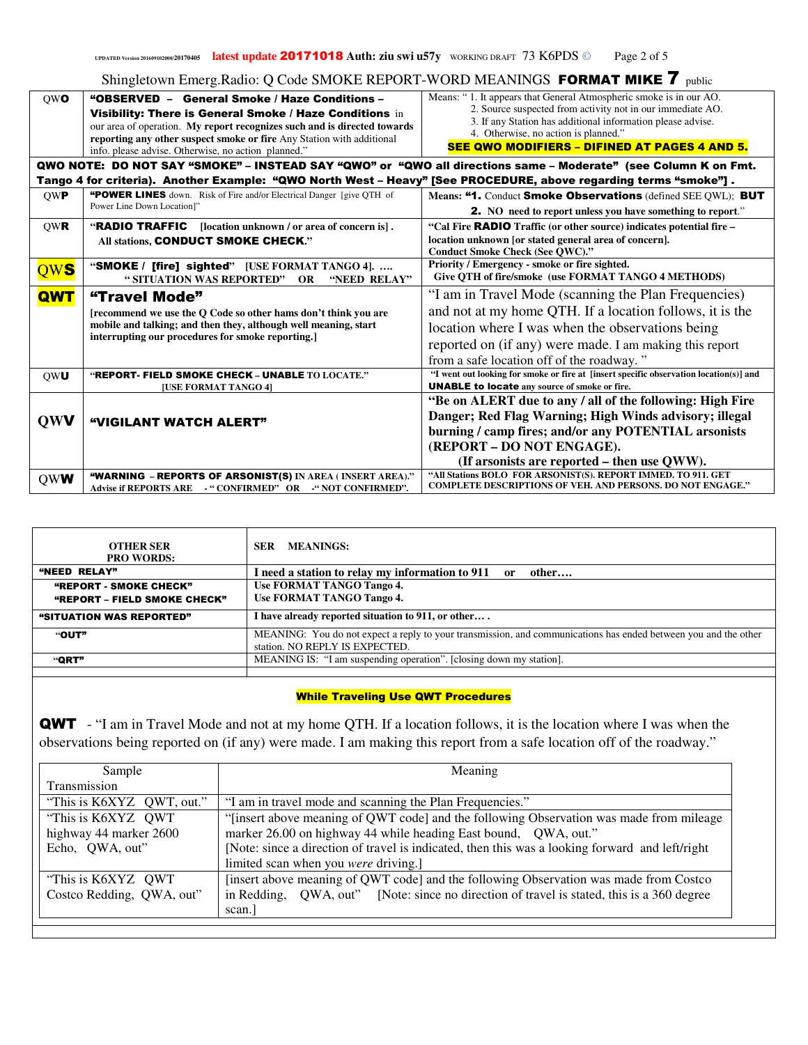| <b>OWO</b> | "OBSERVED - General Smoke / Haze Conditions -<br>Visibility: There is General Smoke / Haze Conditions in<br>our area of operation. My report recognizes such and is directed towards<br>reporting any other suspect smoke or fire Any Station with additional<br>info. please advise. Otherwise, no action planned." | Means: "1. It appears that General Atmospheric smoke is in our AO.<br>2. Source suspected from activity not in our immediate AO.<br>3. If any Station has additional information please advise.<br>4. Otherwise, no action is planned."<br><b>SEE QWO MODIFIERS - DIFINED AT PAGES 4 AND 5.</b> |
|------------|----------------------------------------------------------------------------------------------------------------------------------------------------------------------------------------------------------------------------------------------------------------------------------------------------------------------|-------------------------------------------------------------------------------------------------------------------------------------------------------------------------------------------------------------------------------------------------------------------------------------------------|
|            |                                                                                                                                                                                                                                                                                                                      | QWO NOTE: DO NOT SAY "SMOKE" - INSTEAD SAY "QWO" or "QWO all directions same - Moderate" (see Column K on Fmt.                                                                                                                                                                                  |
|            | Tango 4 for criteria). Another Example: "QWO North West - Heavy" [See PROCEDURE, above regarding terms "smoke"].                                                                                                                                                                                                     |                                                                                                                                                                                                                                                                                                 |
| <b>OWP</b> | "POWER LINES down. Risk of Fire and/or Electrical Danger [give QTH of<br>Power Line Down Location]"                                                                                                                                                                                                                  | Means: "1. Conduct Smoke Observations (defined SEE QWL); BUT<br><b>2.</b> NO need to report unless you have something to report."                                                                                                                                                               |
| <b>OWR</b> | <b>"RADIO TRAFFIC</b><br>[location unknown / or area of concern is].<br>All stations, CONDUCT SMOKE CHECK."                                                                                                                                                                                                          | "Cal Fire <b>RADIO</b> Traffic (or other source) indicates potential fire -<br>location unknown [or stated general area of concern].<br>Conduct Smoke Check (See QWC)."                                                                                                                         |
| QWS        | "SMOKE / [fire] sighted" [USE FORMAT TANGO 4].<br>"SITUATION WAS REPORTED" OR<br>"NEED RELAY"                                                                                                                                                                                                                        | Priority / Emergency - smoke or fire sighted.<br>Give OTH of fire/smoke (use FORMAT TANGO 4 METHODS)                                                                                                                                                                                            |
| <b>QWT</b> | "Travel Mode"<br>[recommend we use the Q Code so other hams don't think you are<br>mobile and talking; and then they, although well meaning, start<br>interrupting our procedures for smoke reporting.]                                                                                                              | "I am in Travel Mode (scanning the Plan Frequencies)<br>and not at my home QTH. If a location follows, it is the<br>location where I was when the observations being<br>reported on (if any) were made. I am making this report<br>from a safe location off of the roadway."                    |
| OWU        | "REPORT- FIELD SMOKE CHECK - UNABLE TO LOCATE."<br><b>[USE FORMAT TANGO 4]</b>                                                                                                                                                                                                                                       | "I went out looking for smoke or fire at [insert specific observation location(s)] and<br><b>UNABLE to locate</b> any source of smoke or fire.                                                                                                                                                  |
| <b>QWV</b> | "VIGILANT WATCH ALERT"                                                                                                                                                                                                                                                                                               | "Be on ALERT due to any / all of the following: High Fire<br>Danger; Red Flag Warning; High Winds advisory; illegal<br>burning / camp fires; and/or any POTENTIAL arsonists<br>(REPORT - DO NOT ENGAGE).<br>(If arsonists are reported – then use QWW).                                         |
| <b>OWW</b> | "WARNING - REPORTS OF ARSONIST(S) IN AREA (INSERT AREA)."<br>Advise if REPORTS ARE - "CONFIRMED" OR - "NOT CONFIRMED".                                                                                                                                                                                               | "All Stations BOLO FOR ARSONIST(S). REPORT IMMED. TO 911. GET<br><b>COMPLETE DESCRIPTIONS OF VEH. AND PERSONS. DO NOT ENGAGE."</b>                                                                                                                                                              |

| <b>OTHER SER</b><br><b>PRO WORDS:</b>                  | <b>MEANINGS:</b><br>SER                                                                                                                           |
|--------------------------------------------------------|---------------------------------------------------------------------------------------------------------------------------------------------------|
| "NEED RELAY"                                           | I need a station to relay my information to 911 or<br>other                                                                                       |
| "REPORT - SMOKE CHECK"<br>"REPORT - FIELD SMOKE CHECK" | <b>Use FORMAT TANGO Tango 4.</b><br><b>Use FORMAT TANGO Tango 4.</b>                                                                              |
| "SITUATION WAS REPORTED"                               | I have already reported situation to 911, or other                                                                                                |
| "OUT"                                                  | MEANING: You do not expect a reply to your transmission, and communications has ended between you and the other<br>station. NO REPLY IS EXPECTED. |
| "QRT"                                                  | MEANING IS: "I am suspending operation". [closing down my station].                                                                               |
|                                                        |                                                                                                                                                   |

# While Traveling Use QWT Procedures

QWT - "I am in Travel Mode and not at my home QTH. If a location follows, it is the location where I was when the observations being reported on (if any) were made. I am making this report from a safe location off of the roadway."

| Sample                                                                                | Meaning                                                                                         |  |  |  |
|---------------------------------------------------------------------------------------|-------------------------------------------------------------------------------------------------|--|--|--|
| Transmission                                                                          |                                                                                                 |  |  |  |
| "This is K6XYZ QWT, out."<br>"I am in travel mode and scanning the Plan Frequencies." |                                                                                                 |  |  |  |
| "This is K6XYZ QWT                                                                    | "[insert above meaning of QWT code] and the following Observation was made from mileage         |  |  |  |
| highway 44 marker 2600                                                                | marker 26.00 on highway 44 while heading East bound, QWA, out."                                 |  |  |  |
| Echo, QWA, out"                                                                       | [Note: since a direction of travel is indicated, then this was a looking forward and left/right |  |  |  |
|                                                                                       | limited scan when you were driving.]                                                            |  |  |  |
| "This is K6XYZ QWT                                                                    | [insert above meaning of QWT code] and the following Observation was made from Costco           |  |  |  |
| Costco Redding, QWA, out"                                                             | in Redding, QWA, out" [Note: since no direction of travel is stated, this is a 360 degree       |  |  |  |
|                                                                                       | scan.]                                                                                          |  |  |  |
|                                                                                       |                                                                                                 |  |  |  |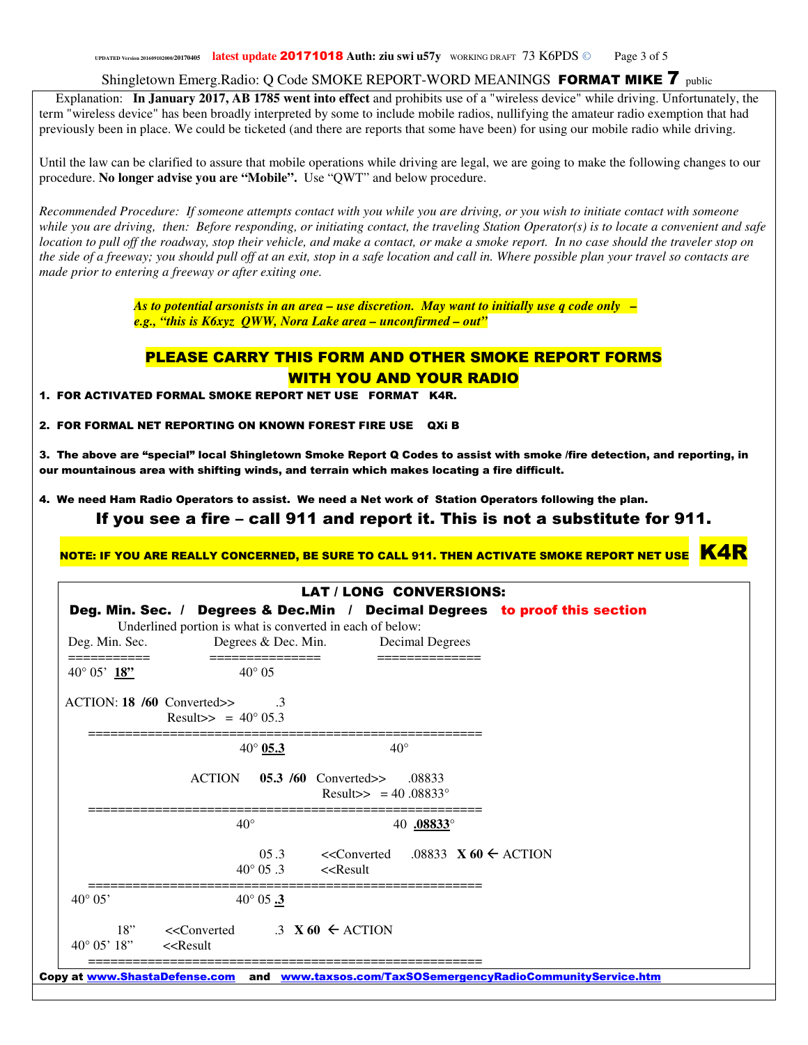**UPDATED Version 201609102000/<sup>20170405</sup> latest update** 20171018 **Auth: ziu swi u57y** WORKING DRAFT 73 K6PDS © Page 3 of 5

Shingletown Emerg.Radio: Q Code SMOKE REPORT-WORD MEANINGS FORMAT MIKE 7 public

 Explanation: **In January 2017, AB 1785 went into effect** and prohibits use of a "wireless device" while driving. Unfortunately, the term "wireless device" has been broadly interpreted by some to include mobile radios, nullifying the amateur radio exemption that had previously been in place. We could be ticketed (and there are reports that some have been) for using our mobile radio while driving.

Until the law can be clarified to assure that mobile operations while driving are legal, we are going to make the following changes to our procedure. **No longer advise you are "Mobile".** Use "QWT" and below procedure.

*Recommended Procedure: If someone attempts contact with you while you are driving, or you wish to initiate contact with someone while you are driving, then: Before responding, or initiating contact, the traveling Station Operator(s) is to locate a convenient and safe location to pull off the roadway, stop their vehicle, and make a contact, or make a smoke report. In no case should the traveler stop on the side of a freeway; you should pull off at an exit, stop in a safe location and call in. Where possible plan your travel so contacts are made prior to entering a freeway or after exiting one.* 

> *As to potential arsonists in an area – use discretion. May want to initially use q code only – e.g., "this is K6xyz QWW, Nora Lake area – unconfirmed – out"*

### PLEASE CARRY THIS FORM AND OTHER SMOKE REPORT FORMS WITH YOU AND YOUR RADIO

1. FOR ACTIVATED FORMAL SMOKE REPORT NET USE FORMAT K4R.

2. FOR FORMAL NET REPORTING ON KNOWN FOREST FIRE USE QXi B

3. The above are "special" local Shingletown Smoke Report Q Codes to assist with smoke /fire detection, and reporting, in our mountainous area with shifting winds, and terrain which makes locating a fire difficult.

4. We need Ham Radio Operators to assist. We need a Net work of Station Operators following the plan.

If you see a fire – call 911 and report it. This is not a substitute for 911.

NOTE: IF YOU ARE REALLY CONCERNED, BE SURE TO CALL 911. THEN ACTIVATE SMOKE REPORT NET USE  $\overline{\text{K4R}}$ 

| Deg. Min. Sec.                                                                                                                                             | Underlined portion is what is converted in each of below:<br>Degrees & Dec. Min. Decimal Degrees |                                                                                                                                                                       |               | Deg. Min. Sec. / Degrees & Dec.Min / Decimal Degrees to proof this section |
|------------------------------------------------------------------------------------------------------------------------------------------------------------|--------------------------------------------------------------------------------------------------|-----------------------------------------------------------------------------------------------------------------------------------------------------------------------|---------------|----------------------------------------------------------------------------|
| ===========<br>40 $^{\circ}$ 05' 18"                                                                                                                       | =============<br>$40^{\circ} 05$                                                                 |                                                                                                                                                                       | ============= |                                                                            |
|                                                                                                                                                            | $ACTION: 18/60$ Converted>> 3<br>Result>> = $40^{\circ}$ 05.3                                    |                                                                                                                                                                       |               |                                                                            |
|                                                                                                                                                            | $40^{\circ}$ 05.3                                                                                | $40^{\circ}$                                                                                                                                                          |               |                                                                            |
|                                                                                                                                                            |                                                                                                  | ACTION 05.3 /60 Converted>> .08833<br>Result>> = $40.08833^{\circ}$                                                                                                   |               |                                                                            |
|                                                                                                                                                            | $40^{\circ}$                                                                                     |                                                                                                                                                                       | 40 .08833°    |                                                                            |
|                                                                                                                                                            |                                                                                                  | 05.3 < <converted .08833="" <math="">X 60 <math>\leftarrow</math> ACTION<br/><math>40^{\circ}</math> 05.3 &lt;<result< th=""><th></th><th></th></result<></converted> |               |                                                                            |
| $40^{\circ} 05'$                                                                                                                                           | $40^{\circ}$ 05 $\frac{3}{5}$                                                                    |                                                                                                                                                                       |               |                                                                            |
| $40^{\circ}$ 05' 18" < <result< td=""><td>18" &lt;<converted <math="">.3 \times 60 \leftarrow ACTION</converted></td><td></td><td></td><td></td></result<> | 18" < <converted <math="">.3 \times 60 \leftarrow ACTION</converted>                             |                                                                                                                                                                       |               |                                                                            |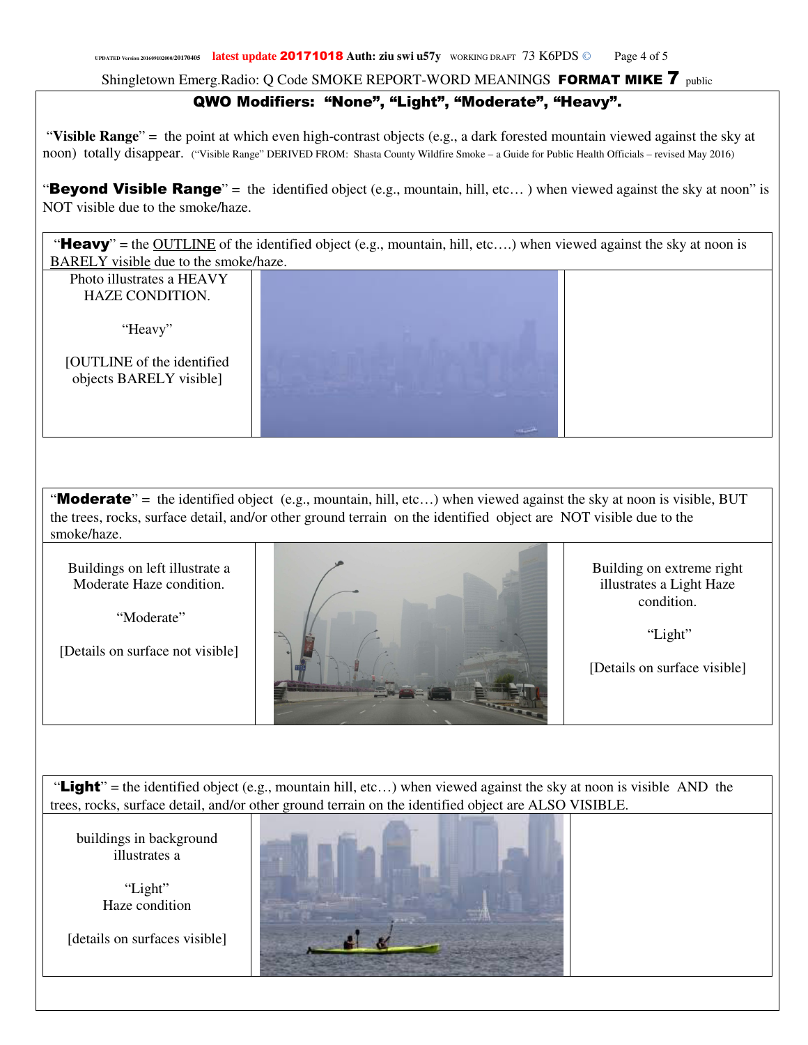## QWO Modifiers: "None", "Light", "Moderate", "Heavy".

 "**Visible Range**" = the point at which even high-contrast objects (e.g., a dark forested mountain viewed against the sky at noon) totally disappear. ("Visible Range" DERIVED FROM: Shasta County Wildfire Smoke – a Guide for Public Health Officials – revised May 2016)

"Beyond Visible Range" = the identified object (e.g., mountain, hill, etc...) when viewed against the sky at noon" is NOT visible due to the smoke/haze.

"Heavy" = the OUTLINE of the identified object (e.g., mountain, hill, etc....) when viewed against the sky at noon is BARELY visible due to the smoke/haze.

 Photo illustrates a HEAVY HAZE CONDITION.

"Heavy"

[OUTLINE of the identified objects BARELY visible]

"Moderate" = the identified object (e.g., mountain, hill, etc...) when viewed against the sky at noon is visible, BUT the trees, rocks, surface detail, and/or other ground terrain on the identified object are NOT visible due to the smoke/haze.

Buildings on left illustrate a Moderate Haze condition.

"Moderate"

[Details on surface not visible]



Building on extreme right illustrates a Light Haze condition.

"Light"

[Details on surface visible]

"Light" = the identified object (e.g., mountain hill, etc...) when viewed against the sky at noon is visible AND the trees, rocks, surface detail, and/or other ground terrain on the identified object are ALSO VISIBLE.

buildings in background illustrates a

> "Light" Haze condition

[details on surfaces visible]